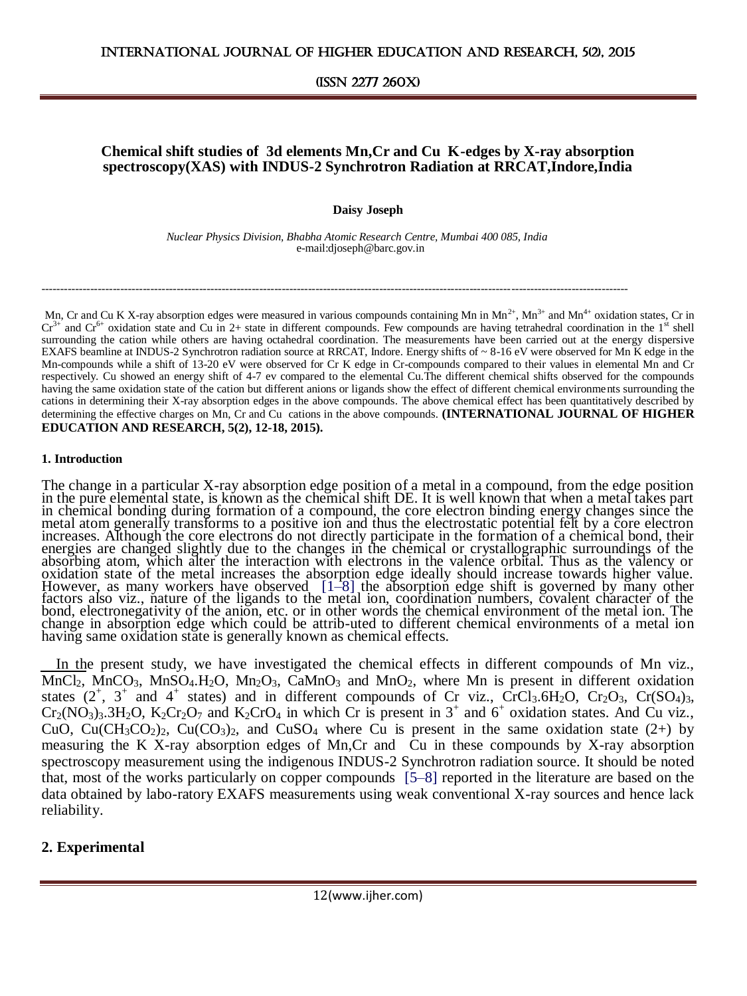### **Chemical shift studies of 3d elements Mn,Cr and Cu K-edges by X-ray absorption spectroscopy(XAS) with INDUS-2 Synchrotron Radiation at RRCAT,Indore,India**

**Daisy Joseph**

 *Nuclear Physics Division, Bhabha Atomic Research Centre, Mumbai 400 085, India* e-mail:djoseph@barc.gov.in

------------------------------------------------------------------------------------------------------------------------------------------------------------

Mn, Cr and Cu K X-ray absorption edges were measured in various compounds containing Mn in  $Mn^{2+}$ ,  $Mn^{3+}$  and  $Mn^{4+}$  oxidation states, Cr in  $Cr^{3+}$  and  $Cr^{6+}$  oxidation state and Cu in 2+ state in different compounds. Few compounds are having tetrahedral coordination in the 1<sup>st</sup> shell surrounding the cation while others are having octahedral coordination. The measurements have been carried out at the energy dispersive EXAFS beamline at INDUS-2 Synchrotron radiation source at RRCAT, Indore. Energy shifts of ~ 8-16 eV were observed for Mn K edge in the Mn-compounds while a shift of 13-20 eV were observed for Cr K edge in Cr-compounds compared to their values in elemental Mn and Cr respectively. Cu showed an energy shift of 4-7 ev compared to the elemental Cu.The different chemical shifts observed for the compounds having the same oxidation state of the cation but different anions or ligands show the effect of different chemical environments surrounding the cations in determining their X-ray absorption edges in the above compounds. The above chemical effect has been quantitatively described by determining the effective charges on Mn, Cr and Cu cations in the above compounds. **(INTERNATIONAL JOURNAL OF HIGHER EDUCATION AND RESEARCH, 5(2), 12-18, 2015).**

#### **1. Introduction**

The change in a particular X-ray absorption edge position of a metal in a compound, from the edge position in the pure elemental state, is known as the chemical shift DE. It is well known that when a metal takes part in chemical bonding during formation of a compound, the core electron binding energy changes since the metal atom generally transforms to a positive ion and thus the electrostatic potential felt by a core electron increases. Although the core electrons do not directly participate in the formation of a chemical bond, their energies are changed slightly due to the changes in the chemical or crystallographic surroundings of the absorbing atom, which alter the interaction with electrons in the valence orbital. Thus as the valency or oxidation state of the metal increases the absorption edge ideally should increase towards higher value. However, as many workers have observed [1–8] the absorption edge shift is governed by many other factors also viz., nature of the ligands to the metal ion, coordination numbers, covalent character of the bond, electronegativity of the anion, etc. or in other words the chemical environment of the metal ion. The change in absorption edge which could be attrib-uted to different chemical environments of a metal ion having same oxidation state is generally known as chemical effects.

In the present study, we have investigated the chemical effects in different compounds of Mn viz.,  $MnCl_2$ ,  $MnCO_3$ ,  $MnSO_4$ ,  $H_2O$ ,  $Mn_2O_3$ ,  $CaMnO_3$  and  $MnO_2$ , where Mn is present in different oxidation states  $(2^+, 3^+)$  and  $4^+$  states) and in different compounds of Cr viz., CrCl<sub>3</sub>.6H<sub>2</sub>O, Cr<sub>2</sub>O<sub>3</sub>, Cr(SO<sub>4</sub>)<sub>3</sub>,  $Cr_2(NO_3)_3.3H_2O$ ,  $K_2Cr_2O_7$  and  $K_2CrO_4$  in which Cr is present in  $3^+$  and  $6^+$  oxidation states. And Cu viz., CuO, Cu(CH<sub>3</sub>CO<sub>2</sub>)<sub>2</sub>, Cu(CO<sub>3</sub>)<sub>2</sub>, and CuSO<sub>4</sub> where Cu is present in the same oxidation state (2+) by measuring the K X-ray absorption edges of Mn,Cr and Cu in these compounds by X-ray absorption spectroscopy measurement using the indigenous INDUS-2 Synchrotron radiation source. It should be noted that, most of the works particularly on copper compounds [5–8] reported in the literature are based on the data obtained by labo-ratory EXAFS measurements using weak conventional X-ray sources and hence lack reliability.

## **2. Experimental**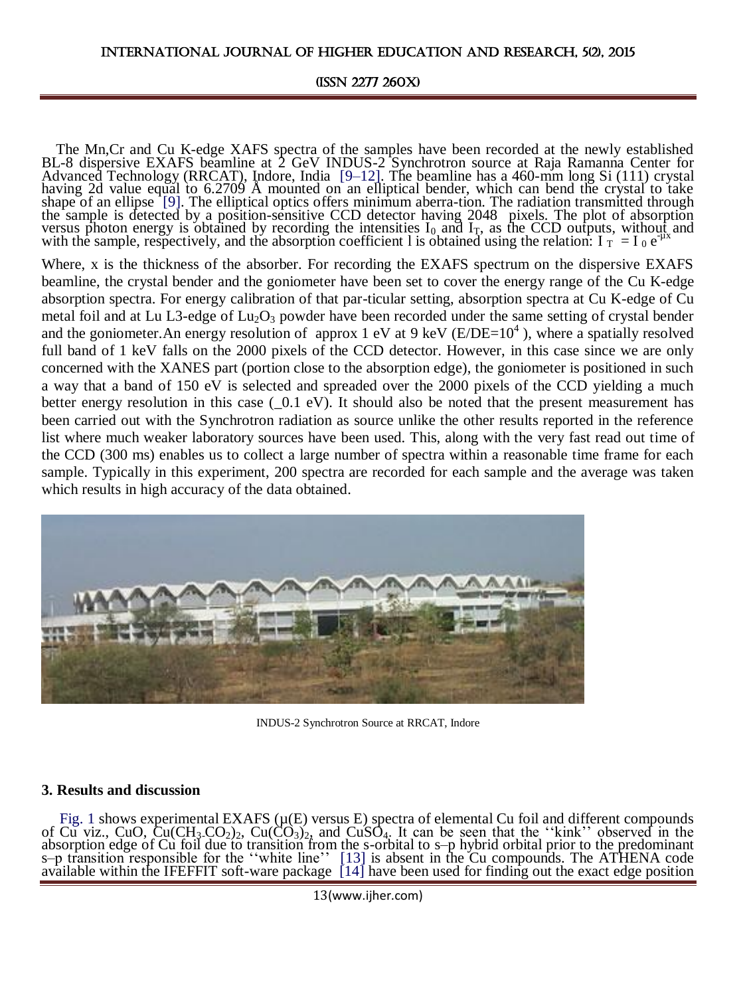#### INTERNATIONAL JOURNAL OF HIGHER EDUCATION AND RESEARCH, 5(2), 2015

#### (ISSN 2277 260X)

The Mn,Cr and Cu K-edge XAFS spectra of the samples have been recorded at the newly established BL-8 dispersive EXAFS beamline at 2 GeV INDUS-2 Synchrotron source at Raja Ramanna Center for Advanced Technology (RRCAT), Indore, India [9–12]. The beamline has a 460-mm long Si (111) crystal having 2d value equal to 6.2709 Å mounted on an elliptical bender, which can bend the crystal to take shape of an ellipse [9]. The elliptical optics offers minimum aberra-tion. The radiation transmitted through the sample is detected by a position-sensitive CCD detector having 2048 pixels. The plot of absorption versus photon energy is obtained by recording the intensities  $I_0$  and  $I_T$ , as the CCD outputs, without and with the sample, respectively, and the absorption coefficient 1 is obtained using the relation:  $I_T = I_0 e^{i\mu x}$ 

Where, x is the thickness of the absorber. For recording the EXAFS spectrum on the dispersive EXAFS beamline, the crystal bender and the goniometer have been set to cover the energy range of the Cu K-edge absorption spectra. For energy calibration of that par-ticular setting, absorption spectra at Cu K-edge of Cu metal foil and at Lu L3-edge of  $Lu_2O_3$  powder have been recorded under the same setting of crystal bender and the goniometer. An energy resolution of approx 1 eV at 9 keV ( $E/DE=10<sup>4</sup>$ ), where a spatially resolved full band of 1 keV falls on the 2000 pixels of the CCD detector. However, in this case since we are only concerned with the XANES part (portion close to the absorption edge), the goniometer is positioned in such a way that a band of 150 eV is selected and spreaded over the 2000 pixels of the CCD yielding a much better energy resolution in this case  $(0.1 \text{ eV})$ . It should also be noted that the present measurement has been carried out with the Synchrotron radiation as source unlike the other results reported in the reference list where much weaker laboratory sources have been used. This, along with the very fast read out time of the CCD (300 ms) enables us to collect a large number of spectra within a reasonable time frame for each sample. Typically in this experiment, 200 spectra are recorded for each sample and the average was taken which results in high accuracy of the data obtained.



INDUS-2 Synchrotron Source at RRCAT, Indore

### **3. Results and discussion**

Fig. 1 shows experimental EXAFS ( $\mu$ (E) versus E) spectra of elemental Cu foil and different compounds of Cu viz., CuO, Cu(CH<sub>3</sub>-CO<sub>2</sub>)<sub>2</sub>, Cu(CO<sub>3</sub>)<sub>2</sub>, and CuSO<sub>4</sub>. It can be seen that the "kink" observed in the absorption edge of Cu foil due to transition from the s-orbital to s–p hybrid orbital prior to the predominant s–p transition responsible for the ''white line'' [13] is absent in the Cu compounds. The ATHENA code available within the IFEFFIT soft-ware package [14] have been used for finding out the exact edge position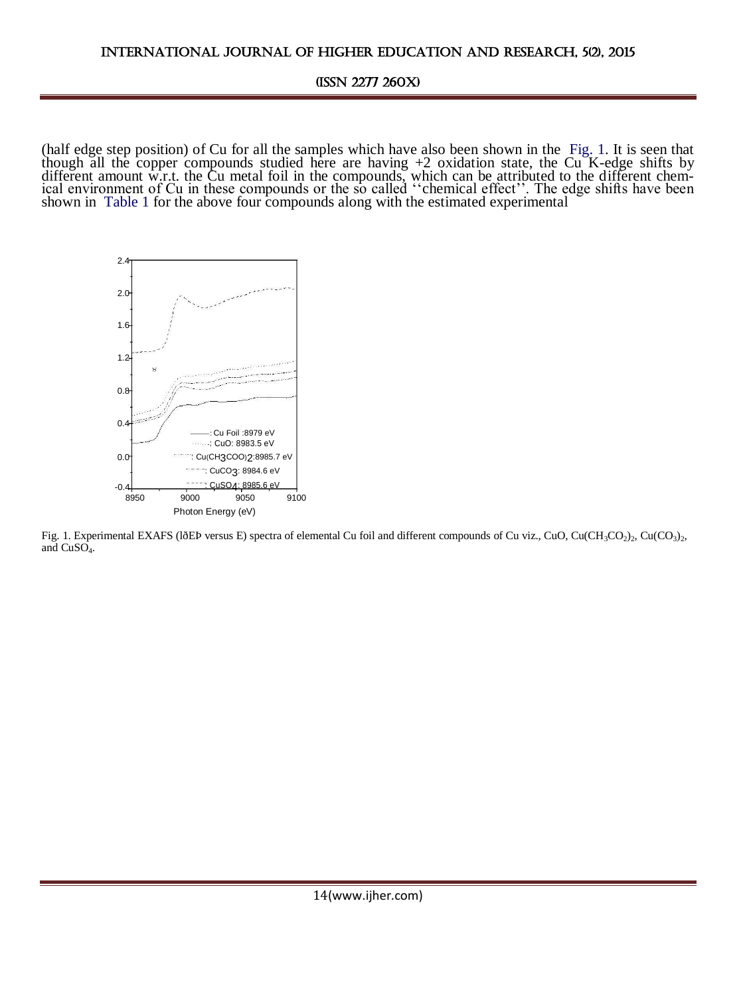(half edge step position) of Cu for all the samples which have also been shown in the Fig. 1. It is seen that though all the copper compounds studied here are having +2 oxidation state, the Cu K-edge shifts by different amount w.r.t. the Cu metal foil in the compounds, which can be attributed to the different chemical environment of Cu in these compounds or the so called "chemical effect". The edge shifts have been shown in Table 1 for the above four compounds along with the estimated experimental



Fig. 1. Experimental EXAFS (lðEÞ versus E) spectra of elemental Cu foil and different compounds of Cu viz., CuO, Cu(CH<sub>3</sub>CO<sub>2</sub>)<sub>2</sub>, Cu(CO<sub>3</sub>)<sub>2</sub>, and  $CuSO<sub>4</sub>$ .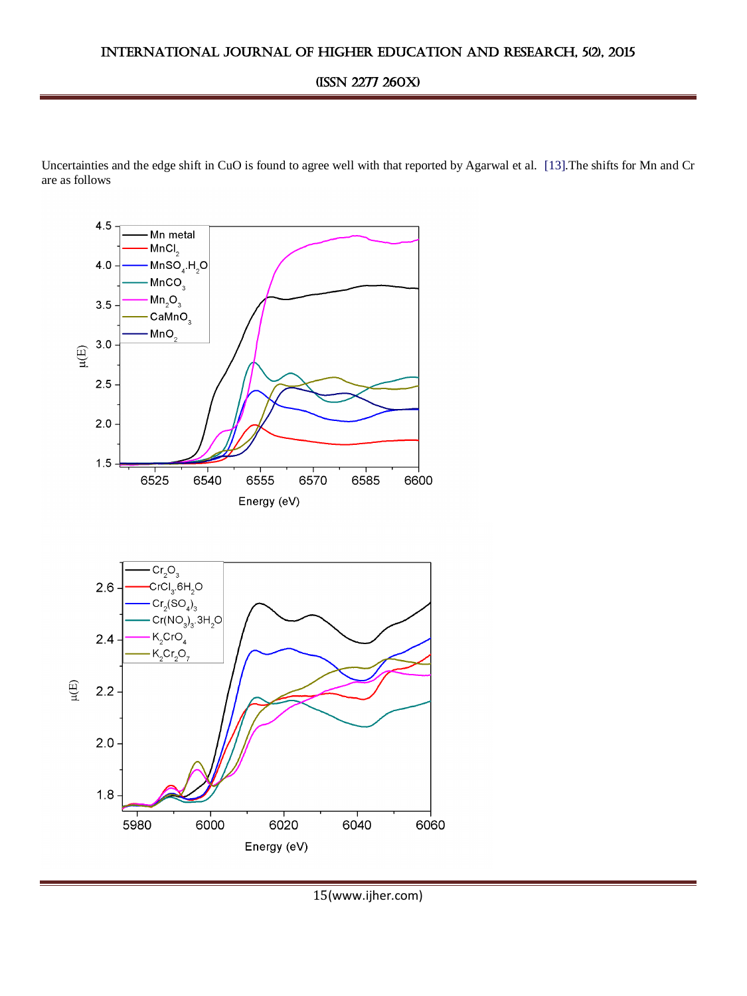Uncertainties and the edge shift in CuO is found to agree well with that reported by Agarwal et al. [13].The shifts for Mn and Cr are as follows



<sup>15</sup>(www.ijher.com)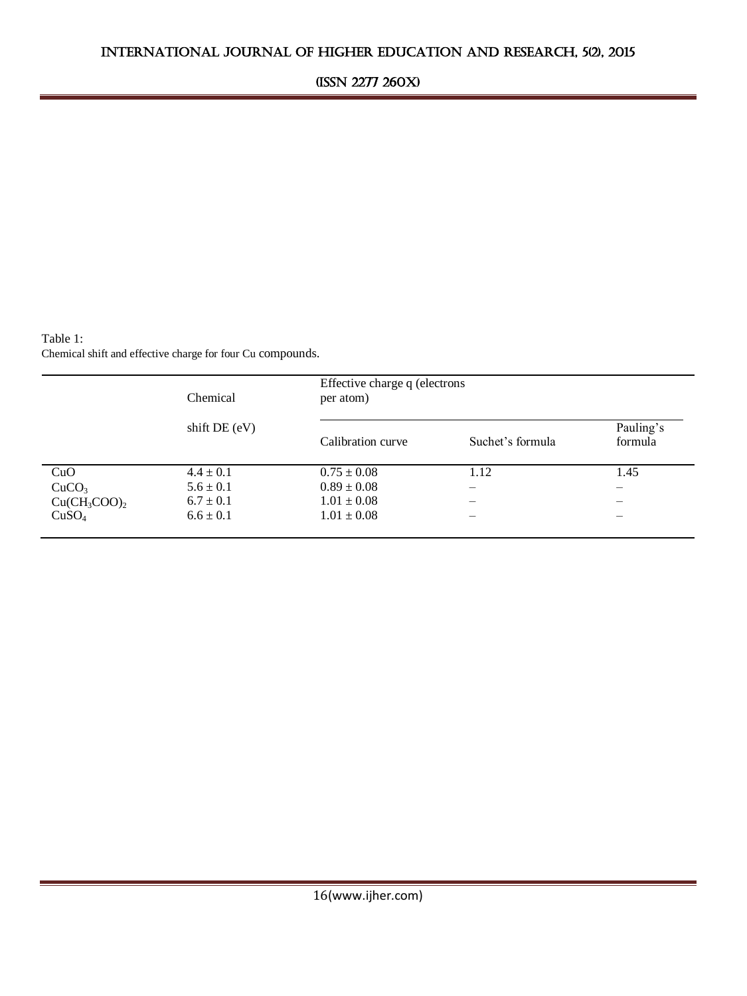Table 1: Chemical shift and effective charge for four Cu compounds.

|                   | Chemical<br>shift $DE(eV)$ | Effective charge q (electrons<br>per atom) |                  |                      |
|-------------------|----------------------------|--------------------------------------------|------------------|----------------------|
|                   |                            | Calibration curve                          | Suchet's formula | Pauling's<br>formula |
| CuO               | $4.4 \pm 0.1$              | $0.75 \pm 0.08$                            | 1.12             | 1.45                 |
| CuCO <sub>3</sub> | $5.6 \pm 0.1$              | $0.89 \pm 0.08$                            |                  |                      |
| $Cu(CH_3COO)_2$   | $6.7 \pm 0.1$              | $1.01 \pm 0.08$                            |                  |                      |
| CuSO <sub>4</sub> | $6.6 \pm 0.1$              | $1.01 \pm 0.08$                            |                  |                      |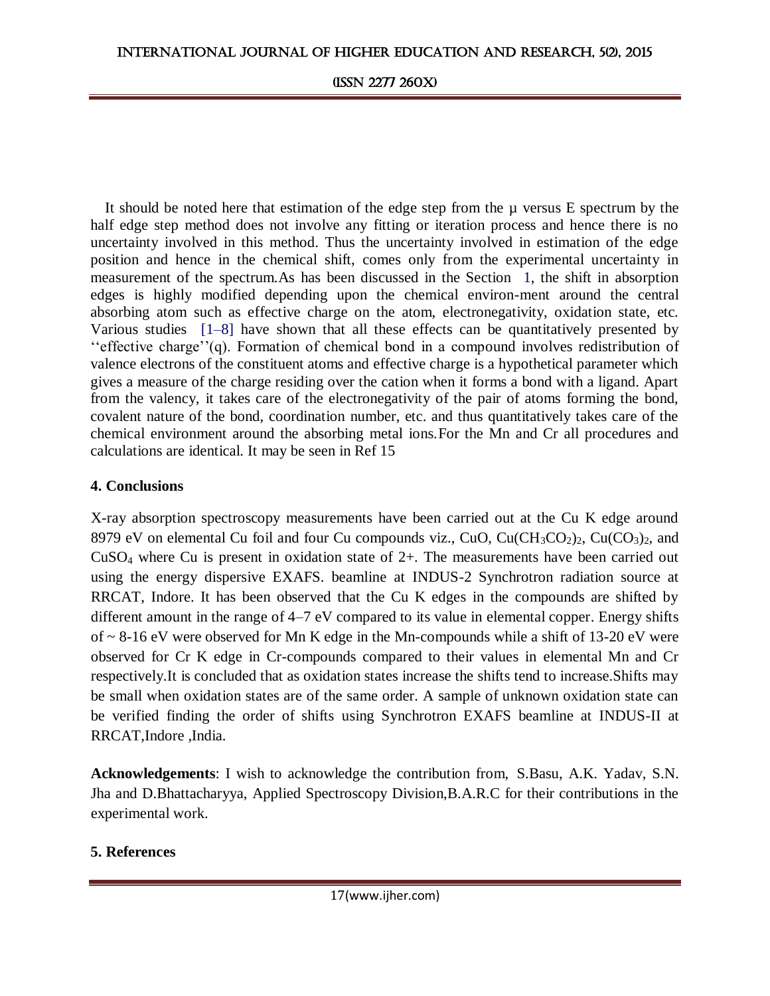It should be noted here that estimation of the edge step from the  $\mu$  versus E spectrum by the half edge step method does not involve any fitting or iteration process and hence there is no uncertainty involved in this method. Thus the uncertainty involved in estimation of the edge position and hence in the chemical shift, comes only from the experimental uncertainty in measurement of the spectrum.As has been discussed in the Section 1, the shift in absorption edges is highly modified depending upon the chemical environ-ment around the central absorbing atom such as effective charge on the atom, electronegativity, oxidation state, etc. Various studies [1–8] have shown that all these effects can be quantitatively presented by ''effective charge''(q). Formation of chemical bond in a compound involves redistribution of valence electrons of the constituent atoms and effective charge is a hypothetical parameter which gives a measure of the charge residing over the cation when it forms a bond with a ligand. Apart from the valency, it takes care of the electronegativity of the pair of atoms forming the bond, covalent nature of the bond, coordination number, etc. and thus quantitatively takes care of the chemical environment around the absorbing metal ions.For the Mn and Cr all procedures and calculations are identical. It may be seen in Ref 15

# **4. Conclusions**

X-ray absorption spectroscopy measurements have been carried out at the Cu K edge around 8979 eV on elemental Cu foil and four Cu compounds viz., CuO, Cu $CH_3CO_2$ <sub>2</sub>, Cu $(CO_3)$ <sub>2</sub>, and CuSO<sup>4</sup> where Cu is present in oxidation state of 2+. The measurements have been carried out using the energy dispersive EXAFS. beamline at INDUS-2 Synchrotron radiation source at RRCAT, Indore. It has been observed that the Cu K edges in the compounds are shifted by different amount in the range of 4–7 eV compared to its value in elemental copper. Energy shifts of  $\sim$  8-16 eV were observed for Mn K edge in the Mn-compounds while a shift of 13-20 eV were observed for Cr K edge in Cr-compounds compared to their values in elemental Mn and Cr respectively.It is concluded that as oxidation states increase the shifts tend to increase.Shifts may be small when oxidation states are of the same order. A sample of unknown oxidation state can be verified finding the order of shifts using Synchrotron EXAFS beamline at INDUS-II at RRCAT,Indore ,India.

**Acknowledgements**: I wish to acknowledge the contribution from, S.Basu, A.K. Yadav, S.N. Jha and D.Bhattacharyya, Applied Spectroscopy Division,B.A.R.C for their contributions in the experimental work.

# **5. References**